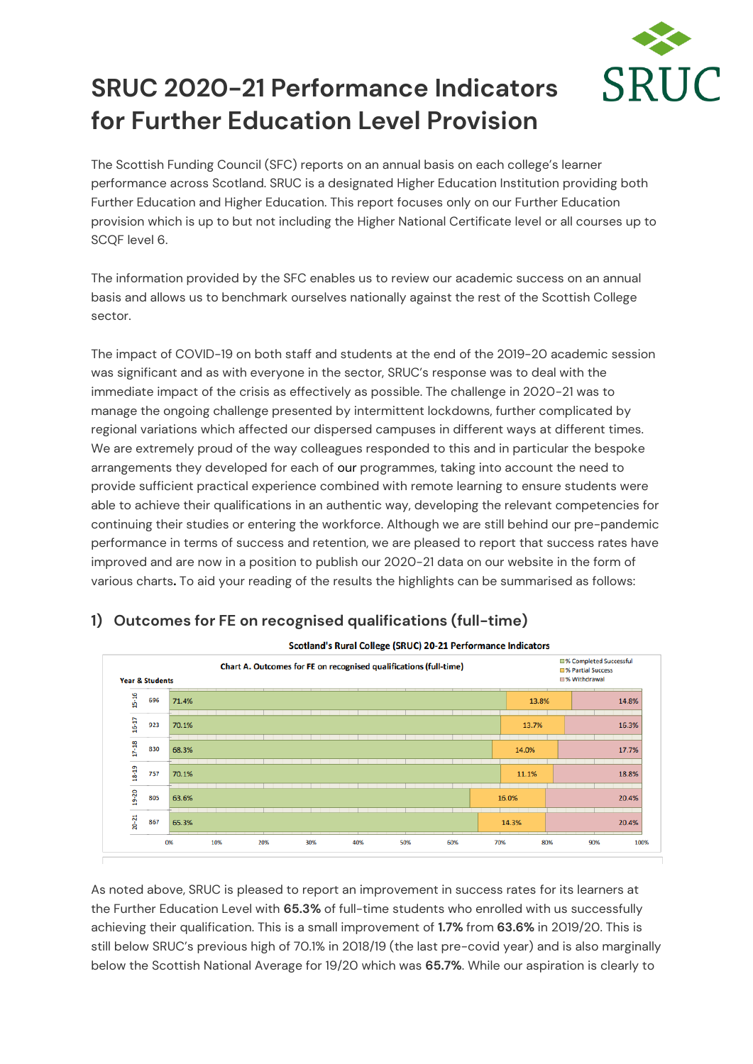

## **SRUC 2020-21 Performance Indicators for Further Education Level Provision**

The Scottish Funding Council (SFC) reports on an annual basis on each college's learner performance across Scotland. SRUC is a designated Higher Education Institution providing both Further Education and Higher Education. This report focuses only on our Further Education provision which is up to but not including the Higher National Certificate level or all courses up to SCQF level 6.

The information provided by the SFC enables us to review our academic success on an annual basis and allows us to benchmark ourselves nationally against the rest of the Scottish College sector.

The impact of COVID-19 on both staff and students at the end of the 2019-20 academic session was significant and as with everyone in the sector, SRUC's response was to deal with the immediate impact of the crisis as effectively as possible. The challenge in 2020-21 was to manage the ongoing challenge presented by intermittent lockdowns, further complicated by regional variations which affected our dispersed campuses in different ways at different times. We are extremely proud of the way colleagues responded to this and in particular the bespoke arrangements they developed for each of our programmes, taking into account the need to provide sufficient practical experience combined with remote learning to ensure students were able to achieve their qualifications in an authentic way, developing the relevant competencies for continuing their studies or entering the workforce. Although we are still behind our pre-pandemic performance in terms of success and retention, we are pleased to report that success rates have improved and are now in a position to publish our 2020-21 data on our website in the form of various charts**.** To aid your reading of the results the highlights can be summarised as follows:



## **1) Outcomes for FE on recognised qualifications (full-time)**

As noted above, SRUC is pleased to report an improvement in success rates for its learners at the Further Education Level with **65.3%** of full-time students who enrolled with us successfully achieving their qualification. This is a small improvement of **1.7%** from **63.6%** in 2019/20. This is still below SRUC's previous high of 70.1% in 2018/19 (the last pre-covid year) and is also marginally below the Scottish National Average for 19/20 which was **65.7%**. While our aspiration is clearly to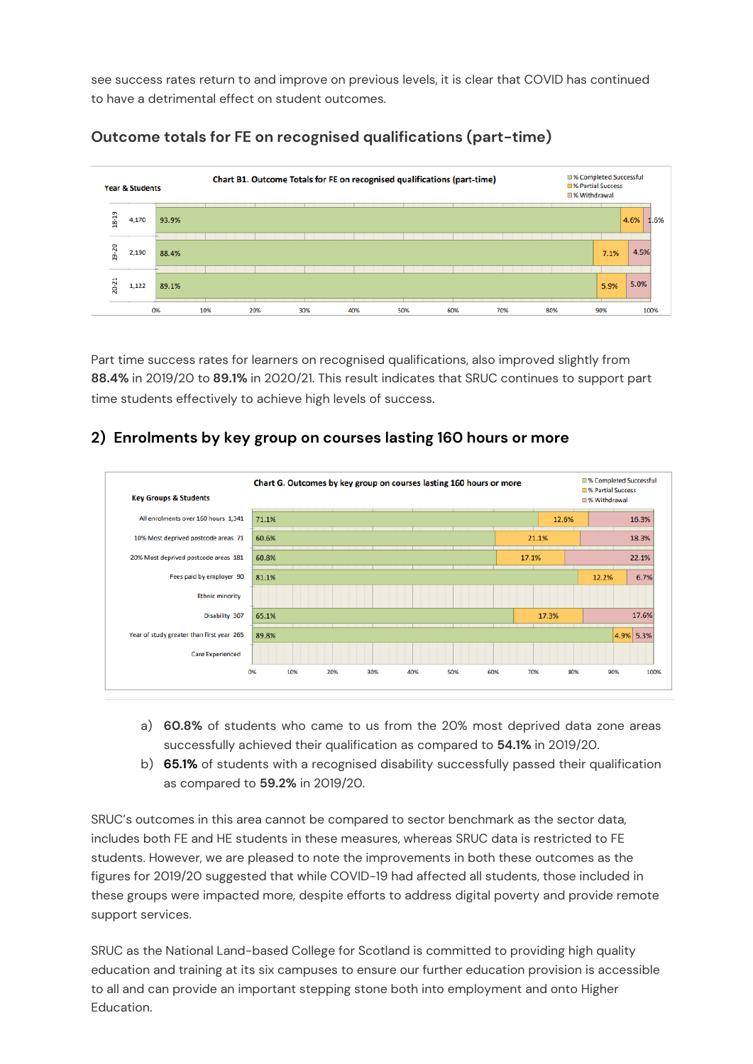see success rates return to and improve on previous levels, it is clear that COVID has continued to have a detrimental effect on student outcomes.



## **Outcome totals for FE on recognised qualifications (part-time)**

Part time success rates for learners on recognised qualifications, also improved slightly from **88.4%** in 2019/20 to **89.1%** in 2020/21. This result indicates that SRUC continues to support part time students effectively to achieve high levels of success.

## **2) Enrolments by key group on courses lasting 160 hours or more**



- a) **60.8%** of students who came to us from the 20% most deprived data zone areas successfully achieved their qualification as compared to **54.1%** in 2019/20.
- b) **65.1%** of students with a recognised disability successfully passed their qualification as compared to **59.2%** in 2019/20.

SRUC's outcomes in this area cannot be compared to sector benchmark as the sector data, includes both FE and HE students in these measures, whereas SRUC data is restricted to FE students. However, we are pleased to note the improvements in both these outcomes as the figures for 2019/20 suggested that while COVID-19 had affected all students, those included in these groups were impacted more, despite efforts to address digital poverty and provide remote support services.

SRUC as the National Land-based College for Scotland is committed to providing high quality education and training at its six campuses to ensure our further education provision is accessible to all and can provide an important stepping stone both into employment and onto Higher Education.